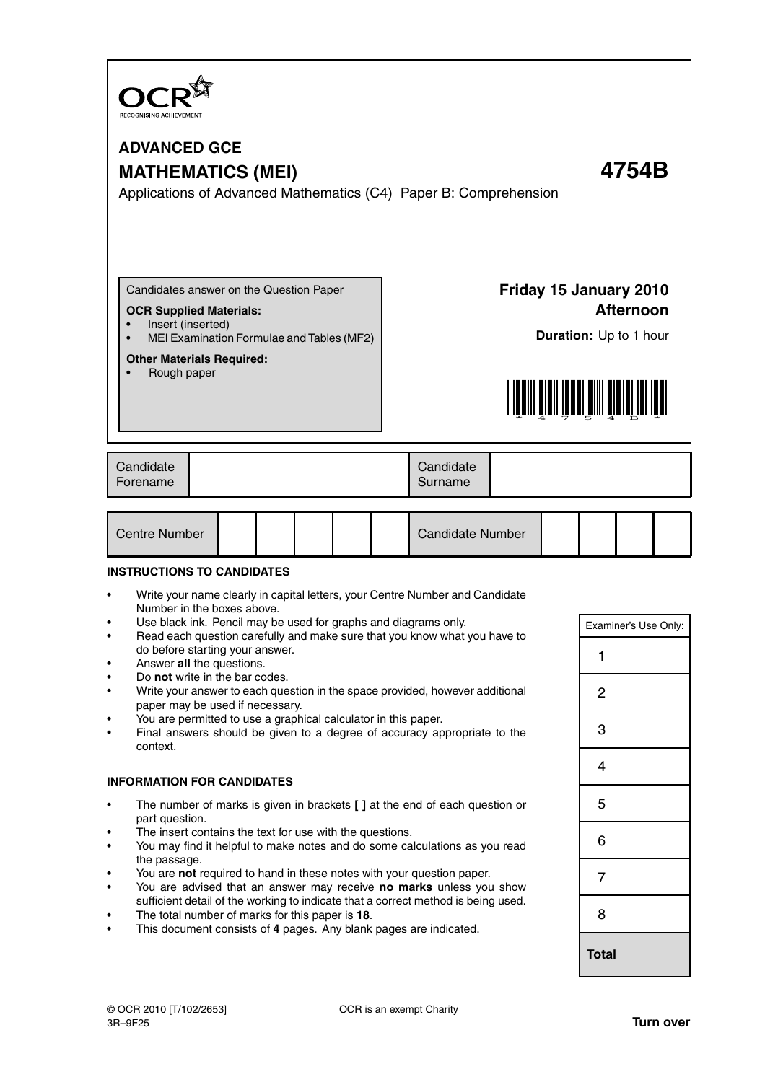

# **ADVANCED GCE MATHEMATICS (MEI) 4754B**

Applications of Advanced Mathematics (C4) Paper B: Comprehension

Candidates answer on the Question Paper

#### **OCR Supplied Materials:**

- Insert (inserted)
- MEI Examination Formulae and Tables (MF2)

#### **Other Materials Required:**

• Rough paper

**Friday 15 January 2010 Afternoon**

**Duration:** Up to 1 hour



|  | Candidate<br>Forename | Candidate<br>Surname |  |
|--|-----------------------|----------------------|--|
|--|-----------------------|----------------------|--|

| Centre Number |  |  |  |  |  | Candidate Number |  |  |  |  |
|---------------|--|--|--|--|--|------------------|--|--|--|--|
|---------------|--|--|--|--|--|------------------|--|--|--|--|

#### **INSTRUCTIONS TO CANDIDATES**

- Write your name clearly in capital letters, your Centre Number and Candidate Number in the boxes above.
- Use black ink. Pencil may be used for graphs and diagrams only.
- Read each question carefully and make sure that you know what you have to do before starting your answer.
- Answer **all** the questions.
- Do **not** write in the bar codes.
- Write your answer to each question in the space provided, however additional paper may be used if necessary.
- You are permitted to use a graphical calculator in this paper.
- Final answers should be given to a degree of accuracy appropriate to the context.

#### **INFORMATION FOR CANDIDATES**

- The number of marks is given in brackets **[ ]** at the end of each question or part question.
- The insert contains the text for use with the questions.
- You may find it helpful to make notes and do some calculations as you read the passage.
- You are **not** required to hand in these notes with your question paper.
- You are advised that an answer may receive **no marks** unless you show sufficient detail of the working to indicate that a correct method is being used.
- The total number of marks for this paper is **18**.
- This document consists of **4** pages. Any blank pages are indicated.

|                         | Examiner's Use Only: |
|-------------------------|----------------------|
| 1                       |                      |
| $\overline{\mathbf{c}}$ |                      |
| 3                       |                      |
| 4                       |                      |
| 5                       |                      |
| 6                       |                      |
| 7                       |                      |
| 8                       |                      |
| <b>Total</b>            |                      |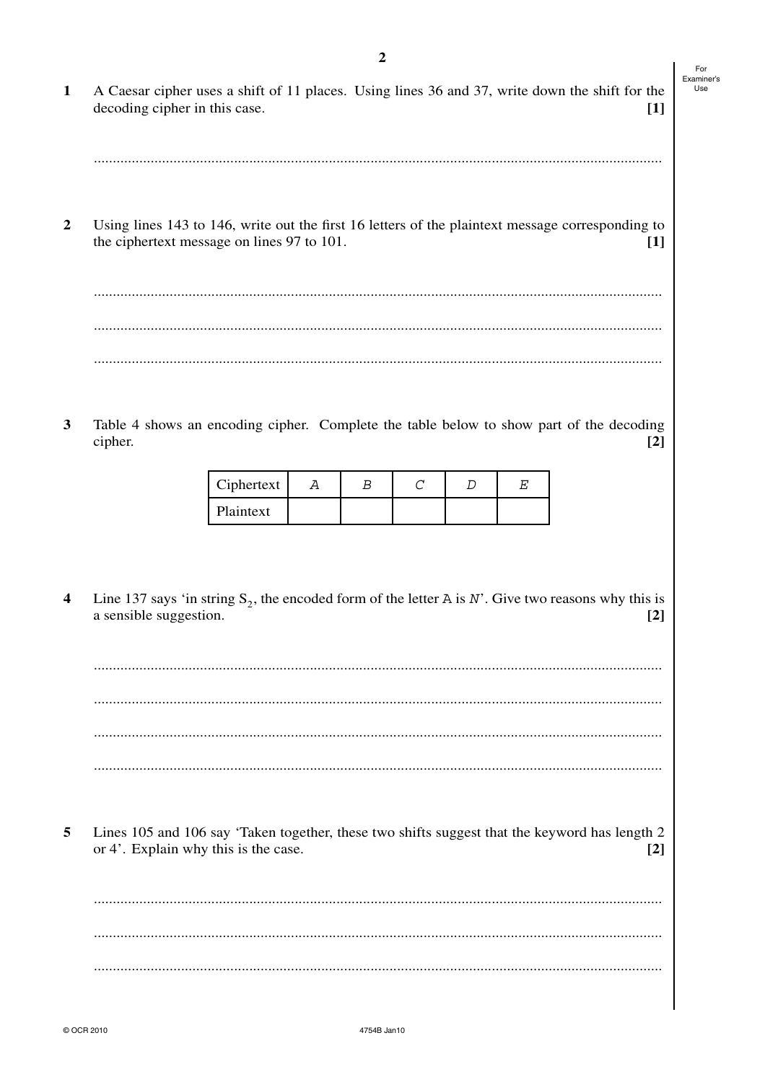- A Caesar cipher uses a shift of 11 places. Using lines 36 and 37, write down the shift for the  $\mathbf{1}$ decoding cipher in this case.  $\lceil 1 \rceil$
- $\overline{2}$ Using lines 143 to 146, write out the first 16 letters of the plaintext message corresponding to the ciphertext message on lines 97 to 101.  $\lceil 1 \rceil$

3 Table 4 shows an encoding cipher. Complete the table below to show part of the decoding cipher.  $\lceil 2 \rceil$ 

| Ciphertext |  |  |  |
|------------|--|--|--|
| Plaintext  |  |  |  |

Line 137 says 'in string  $S_2$ , the encoded form of the letter A is N'. Give two reasons why this is  $\overline{\mathbf{4}}$ a sensible suggestion.  $[2]$ 

5 Lines 105 and 106 say 'Taken together, these two shifts suggest that the keyword has length 2 or 4'. Explain why this is the case.  $[2]$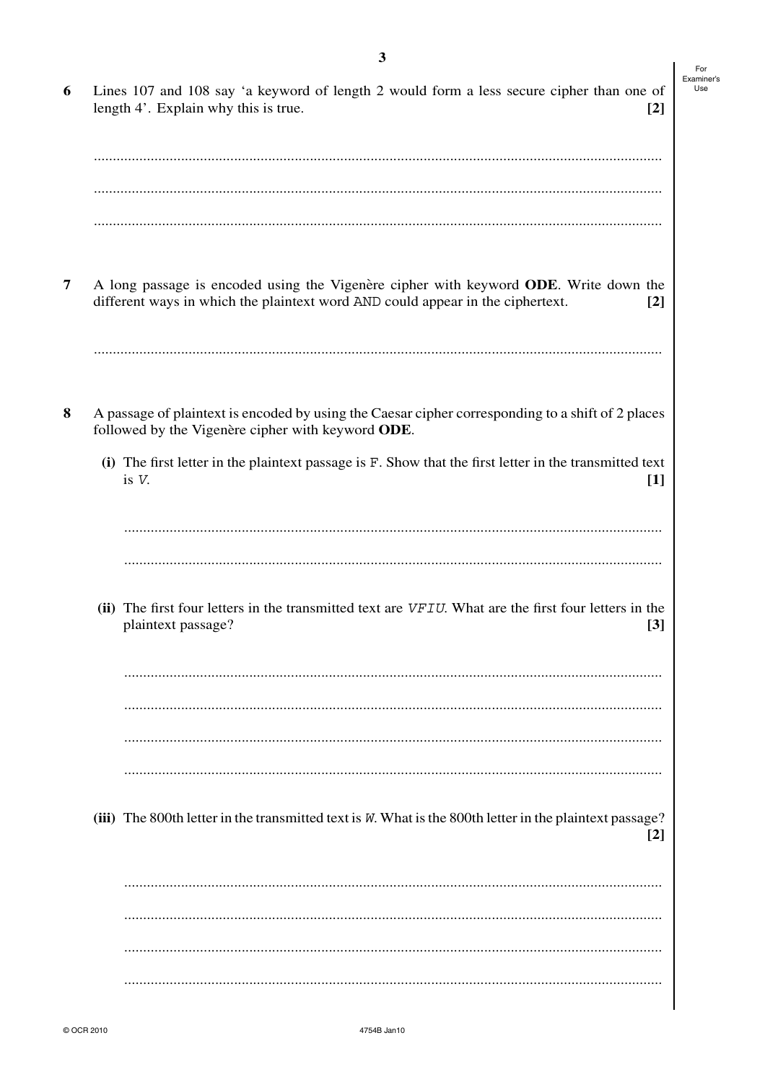6 Lines 107 and 108 say 'a keyword of length 2 would form a less secure cipher than one of length 4'. Explain why this is true.  $\lceil 2 \rceil$  $\overline{7}$ A long passage is encoded using the Vigenère cipher with keyword ODE. Write down the different ways in which the plaintext word AND could appear in the ciphertext.  $[2]$ 8 A passage of plaintext is encoded by using the Caesar cipher corresponding to a shift of 2 places followed by the Vigenère cipher with keyword ODE. (i) The first letter in the plaintext passage is F. Show that the first letter in the transmitted text  $is<sub>V</sub>$  $[1]$ (ii) The first four letters in the transmitted text are *VFIU*. What are the first four letters in the plaintext passage?  $[3]$ (iii) The 800th letter in the transmitted text is W. What is the 800th letter in the plaintext passage?  $\lceil 2 \rceil$ 

 $A75AB$  lan10

For Examiner's Use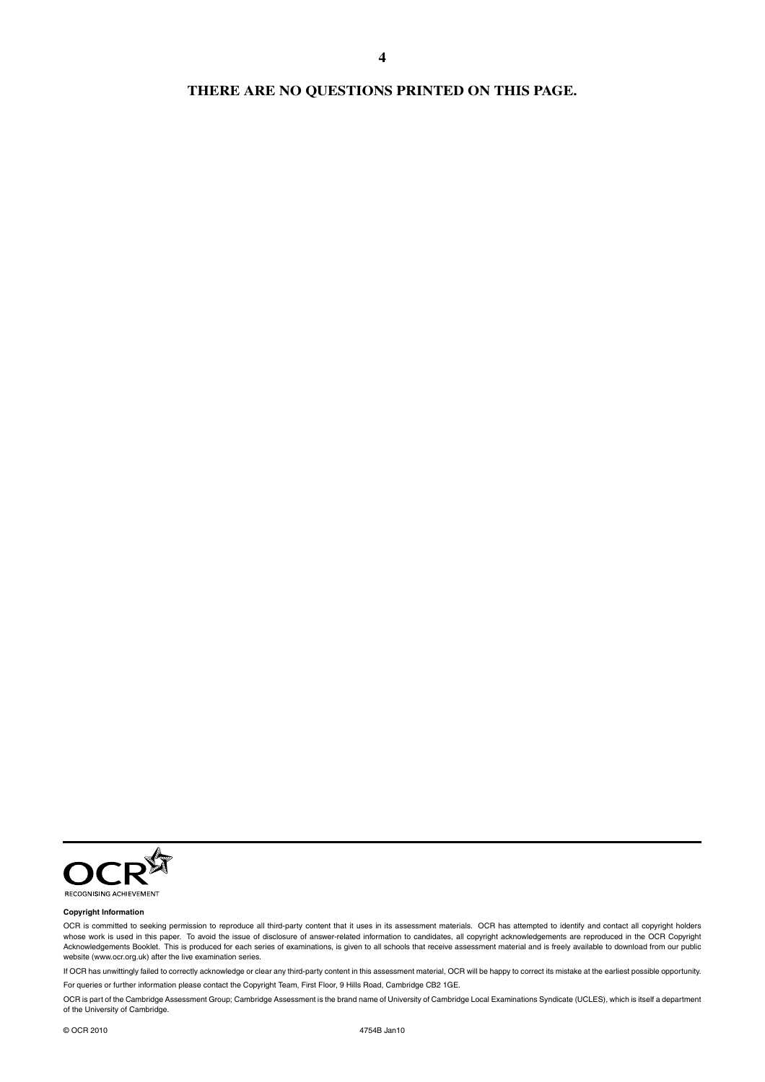#### **THERE ARE NO QUESTIONS PRINTED ON THIS PAGE.**

**4**



#### **Copyright Information**

OCR is committed to seeking permission to reproduce all third-party content that it uses in its assessment materials. OCR has attempted to identify and contact all copyright holders whose work is used in this paper. To avoid the issue of disclosure of answer-related information to candidates, all copyright acknowledgements are reproduced in the OCR Copyright Acknowledgements Booklet. This is produced for each series of examinations, is given to all schools that receive assessment material and is freely available to download from our public<br>website (www.ocr.org.uk) after the li

If OCR has unwittingly failed to correctly acknowledge or clear any third-party content in this assessment material, OCR will be happy to correct its mistake at the earliest possible opportunity.

For queries or further information please contact the Copyright Team, First Floor, 9 Hills Road, Cambridge CB2 1GE.

OCR is part of the Cambridge Assessment Group; Cambridge Assessment is the brand name of University of Cambridge Local Examinations Syndicate (UCLES), which is itself a department of the University of Cambridge.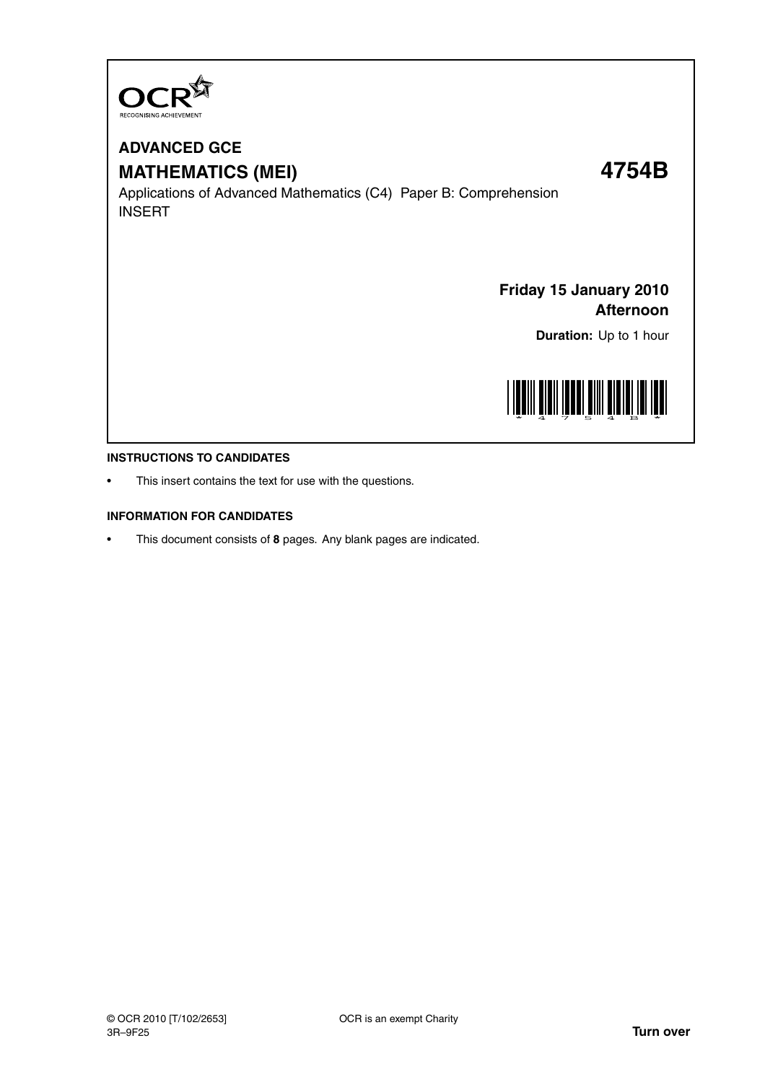

# **ADVANCED GCE MATHEMATICS (MEI) 4754B**

Applications of Advanced Mathematics (C4) Paper B: Comprehension INSERT

## **Friday 15 January 2010 Afternoon**

**Duration:** Up to 1 hour



#### **INSTRUCTIONS TO CANDIDATES**

This insert contains the text for use with the questions.

#### **INFORMATION FOR CANDIDATES**

• This document consists of **8** pages. Any blank pages are indicated.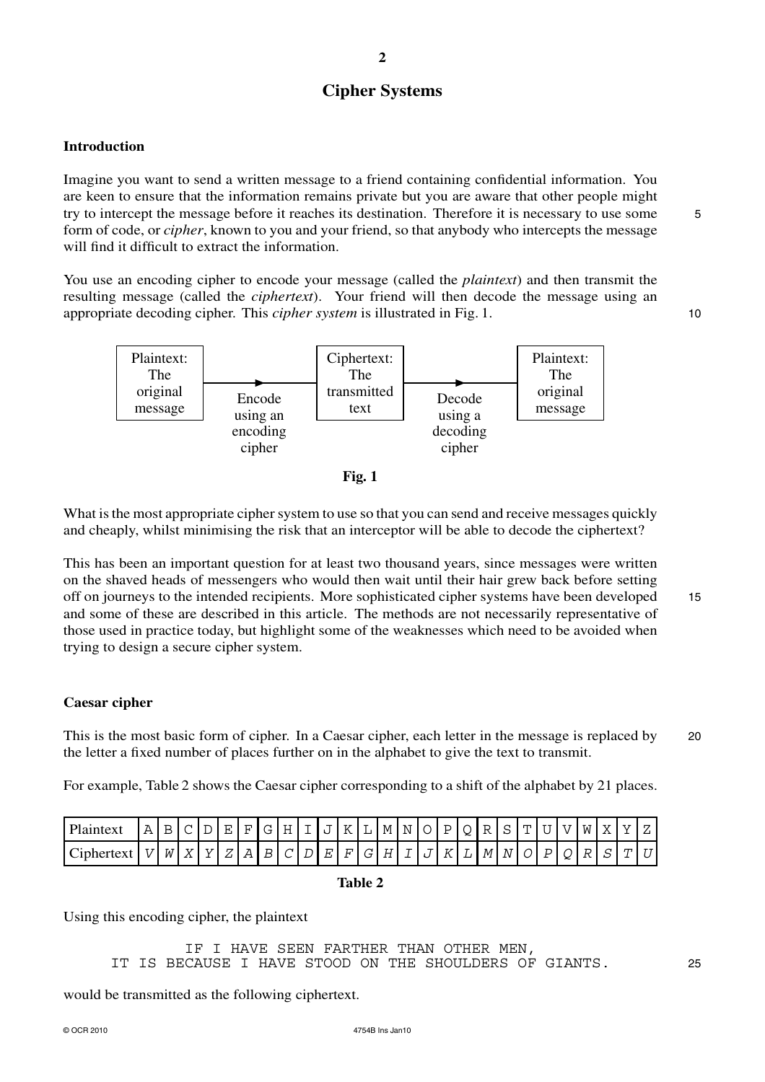## **Cipher Systems**

#### **Introduction**

Imagine you want to send a written message to a friend containing confidential information. You are keen to ensure that the information remains private but you are aware that other people might try to intercept the message before it reaches its destination. Therefore it is necessary to use some 5 form of code, or *cipher*, known to you and your friend, so that anybody who intercepts the message will find it difficult to extract the information.

You use an encoding cipher to encode your message (called the *plaintext*) and then transmit the resulting message (called the *ciphertext*). Your friend will then decode the message using an appropriate decoding cipher. This *cipher system* is illustrated in Fig. 1. 10



**Fig. 1**

What is the most appropriate cipher system to use so that you can send and receive messages quickly and cheaply, whilst minimising the risk that an interceptor will be able to decode the ciphertext?

This has been an important question for at least two thousand years, since messages were written on the shaved heads of messengers who would then wait until their hair grew back before setting off on journeys to the intended recipients. More sophisticated cipher systems have been developed 15 and some of these are described in this article. The methods are not necessarily representative of those used in practice today, but highlight some of the weaknesses which need to be avoided when trying to design a secure cipher system.

#### **Caesar cipher**

This is the most basic form of cipher. In a Caesar cipher, each letter in the message is replaced by 20 the letter a fixed number of places further on in the alphabet to give the text to transmit.

For example, Table 2 shows the Caesar cipher corresponding to a shift of the alphabet by 21 places.

| Plaintext                                                          |  | $ A B C D E F G H I J K L M N O P Q R S T U V W X Y Z $ |  |  |  |  |  |  |  |  |  |  |  |
|--------------------------------------------------------------------|--|---------------------------------------------------------|--|--|--|--|--|--|--|--|--|--|--|
| $ Ciphertext V W X Y Z A B C D E F G H I J K L M N O P Q R S T U $ |  |                                                         |  |  |  |  |  |  |  |  |  |  |  |

#### **Table 2**

Using this encoding cipher, the plaintext

IF I HAVE SEEN FARTHER THAN OTHER MEN, IT IS BECAUSE I HAVE STOOD ON THE SHOULDERS OF GIANTS. 25

would be transmitted as the following ciphertext.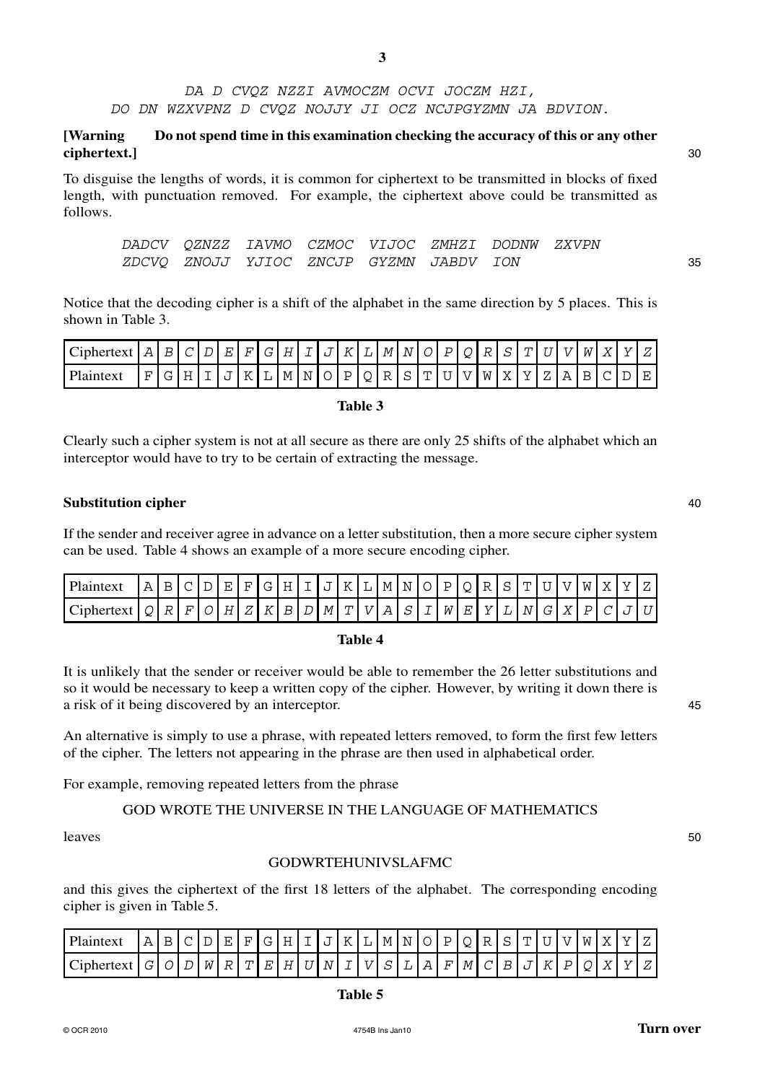**3**

### **[Warning Do not spend time in this examination checking the accuracy of this or any other ciphertext.]** 30

To disguise the lengths of words, it is common for ciphertext to be transmitted in blocks of fixed length, with punctuation removed. For example, the ciphertext above could be transmitted as follows.

DADCV QZNZZ IAVMO CZMOC VIJOC ZMHZI DODNW ZXVPN ZDCVQ ZNOJJ YJIOC ZNCJP GYZMN JABDV ION 35

Notice that the decoding cipher is a shift of the alphabet in the same direction by 5 places. This is shown in Table 3.

| $ Ciphertext A B C D E F G H I J K L M N O P Q R S T U V W X Y Z $ |  |  |  |  |  |  |  |  |  |  |  |  |                                                         |
|--------------------------------------------------------------------|--|--|--|--|--|--|--|--|--|--|--|--|---------------------------------------------------------|
| Plaintex                                                           |  |  |  |  |  |  |  |  |  |  |  |  | $[F G H I J K L M N O P Q R S T U V W X Y Z A B C D E $ |

### **Table 3**

Clearly such a cipher system is not at all secure as there are only 25 shifts of the alphabet which an interceptor would have to try to be certain of extracting the message.

#### **Substitution cipher** 40

If the sender and receiver agree in advance on a letter substitution, then a more secure cipher system can be used. Table 4 shows an example of a more secure encoding cipher.

| Plaintex           | ▵<br>. .<br>- | ⋍ |  | . н.     | . н.     | $\div$                     | $- -$<br>н.<br> | $\mathbf{I}$ | - 1 | K               |       | M | N                          |       | ≍ | ັ    |   |     |    | <b>IN</b> | $\sim$ $\sim$ |  |
|--------------------|---------------|---|--|----------|----------|----------------------------|-----------------|--------------|-----|-----------------|-------|---|----------------------------|-------|---|------|---|-----|----|-----------|---------------|--|
| $\cap$ :<br>`inher | ~             |   |  | <b>⊔</b> | $\prime$ | $\boldsymbol{\mathcal{U}}$ | $\mathbf{E}$    | $\Gamma$     | M   | $\mathbf{\tau}$ | T Z I | Δ | $\tilde{\phantom{0}}$<br>ຼ | TAT I | ॒ | ٦z I | M | - 2 | ∸∸ |           |               |  |

#### **Table 4**

It is unlikely that the sender or receiver would be able to remember the 26 letter substitutions and so it would be necessary to keep a written copy of the cipher. However, by writing it down there is a risk of it being discovered by an interceptor. 45

An alternative is simply to use a phrase, with repeated letters removed, to form the first few letters of the cipher. The letters not appearing in the phrase are then used in alphabetical order.

For example, removing repeated letters from the phrase

GOD WROTE THE UNIVERSE IN THE LANGUAGE OF MATHEMATICS

leaves 50

#### GODWRTEHUNIVSLAFMC

and this gives the ciphertext of the first 18 letters of the alphabet. The corresponding encoding cipher is given in Table 5.

| $  \text{Plaintext}   A   B   C   D   E   F   G   H   I   J   K   L   M   N   O   P   Q   R   S   T   U   V   W   X   Y   Z  $                                                                                                               |  |  |  |  |  |  |  |  |  |  |  |  |  |
|----------------------------------------------------------------------------------------------------------------------------------------------------------------------------------------------------------------------------------------------|--|--|--|--|--|--|--|--|--|--|--|--|--|
| $\vert$ Ciphertext $\vert G \vert$ $O \vert D \vert W \vert R \vert T \vert E \vert H \vert U \vert W \vert T \vert V \vert S \vert L \vert A \vert F \vert W \vert C \vert B \vert J \vert K \vert P \vert Q \vert X \vert Y \vert Z \vert$ |  |  |  |  |  |  |  |  |  |  |  |  |  |

**Table 5**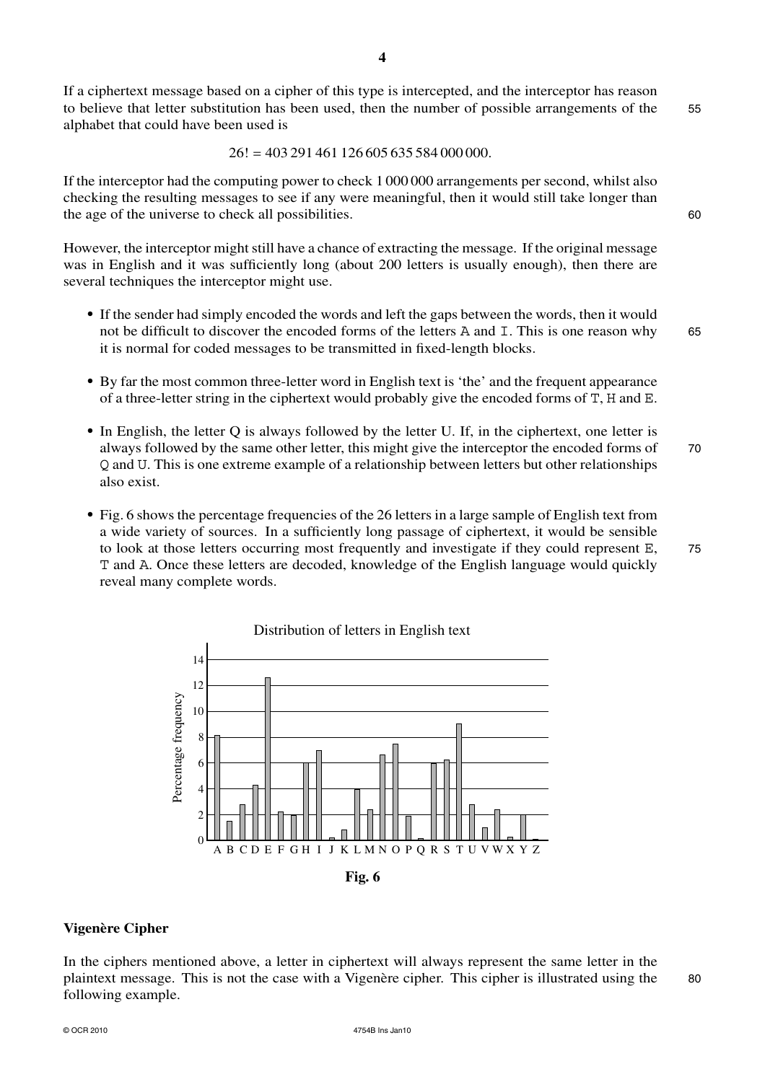If a ciphertext message based on a cipher of this type is intercepted, and the interceptor has reason to believe that letter substitution has been used, then the number of possible arrangements of the 55 alphabet that could have been used is

 $26! = 403291461126605635584000000$ .

If the interceptor had the computing power to check 1 000 000 arrangements per second, whilst also checking the resulting messages to see if any were meaningful, then it would still take longer than the age of the universe to check all possibilities. 60

However, the interceptor might still have a chance of extracting the message. If the original message was in English and it was sufficiently long (about 200 letters is usually enough), then there are several techniques the interceptor might use.

- **•** If the sender had simply encoded the words and left the gaps between the words, then it would not be difficult to discover the encoded forms of the letters A and I. This is one reason why 65 it is normal for coded messages to be transmitted in fixed-length blocks.
- **•** By far the most common three-letter word in English text is 'the' and the frequent appearance of a three-letter string in the ciphertext would probably give the encoded forms of T, H and E.
- In English, the letter Q is always followed by the letter U. If, in the ciphertext, one letter is always followed by the same other letter, this might give the interceptor the encoded forms of 70 Q and U. This is one extreme example of a relationship between letters but other relationships also exist.
- Fig. 6 shows the percentage frequencies of the 26 letters in a large sample of English text from a wide variety of sources. In a sufficiently long passage of ciphertext, it would be sensible to look at those letters occurring most frequently and investigate if they could represent E, 75 T and A. Once these letters are decoded, knowledge of the English language would quickly reveal many complete words.





#### **Vigenère Cipher**

In the ciphers mentioned above, a letter in ciphertext will always represent the same letter in the plaintext message. This is not the case with a Vigenère cipher. This cipher is illustrated using the  $\qquad 80$ following example.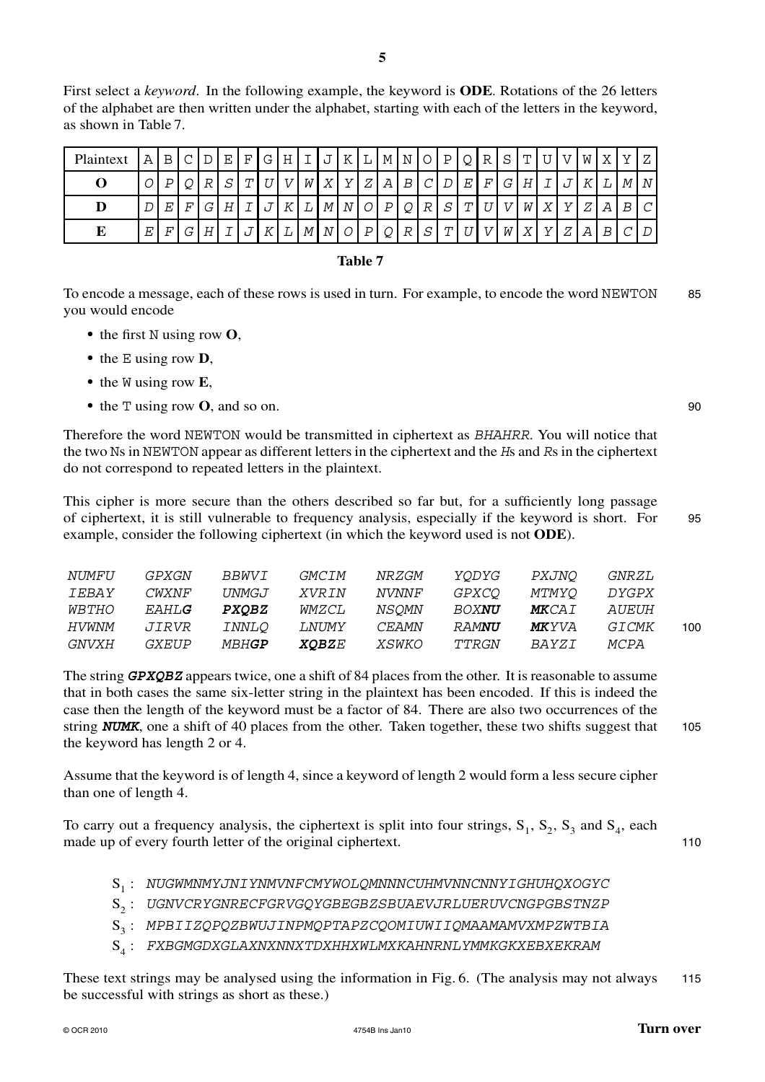First select a *keyword*. In the following example, the keyword is **ODE**. Rotations of the 26 letters of the alphabet are then written under the alphabet, starting with each of the letters in the keyword, as shown in Table 7.

| Plaintext | $\overline{A}$ | B <sub>1</sub> | $\overline{C}$ |   | $D E F G H $ |  |  |                 |  |  | I J K L M N O P Q R S                         |         |            |   | $T$ U | $\mathbf V$ |     | $WXY$               | $\overline{z}$     |
|-----------|----------------|----------------|----------------|---|--------------|--|--|-----------------|--|--|-----------------------------------------------|---------|------------|---|-------|-------------|-----|---------------------|--------------------|
|           |                | P <sup>1</sup> | Q R S          |   |              |  |  |                 |  |  | $T U V W X Y Z A B C D E F G $                |         |            | H |       |             |     | $I$ $J$ $K$ $L$ $M$ | $\,N$              |
|           |                | E              | F              |   | $G$ $H$      |  |  |                 |  |  | $I   J   K   L   M   N   O   P   Q   R   S  $ | T       | $U \mid V$ |   |       |             |     | W[X Y Z A B]        | $\curvearrowright$ |
|           |                | $F^{\prime}$   | G              | H |              |  |  | J K L M N O P Q |  |  | R S                                           | $T$ $U$ | $V$ $W$    | X | Y     |             | Z A | $\boldsymbol{B}$    | $\Gamma$           |

### **Table 7**

To encode a message, each of these rows is used in turn. For example, to encode the word NEWTON 85 you would encode

- **•** the first N using row **O**,
- **•** the E using row **D**,
- **•** the W using row **E**,
- the T using row **O**, and so on. 90

Therefore the word NEWTON would be transmitted in ciphertext as BHAHRR. You will notice that the two Ns in NEWTON appear as different letters in the ciphertext and the <sup>H</sup>s and <sup>R</sup>s in the ciphertext do not correspond to repeated letters in the plaintext.

This cipher is more secure than the others described so far but, for a sufficiently long passage of ciphertext, it is still vulnerable to frequency analysis, especially if the keyword is short. For 95 example, consider the following ciphertext (in which the keyword used is not **ODE**).

| <i>NUMFU</i> | <i>GPXGN</i> | BBWVT          | <i>GMCIM</i> | NRZGM        | YODYG         | <i>PXJNO</i>  | GNRZL        |     |
|--------------|--------------|----------------|--------------|--------------|---------------|---------------|--------------|-----|
| TEBAY        | <i>CWXNF</i> | <i>IJNMG.T</i> | <i>XVRIN</i> | <i>NVNNF</i> | <i>GPXCO</i>  | <i>MTMYO</i>  | <i>DYGPX</i> |     |
| <i>WBTHO</i> | EAHLG        | <i>PXOBZ</i>   | <i>WMZCL</i> | <i>NSOMN</i> | <i>BOXNU</i>  | <b>MK</b> CAT | AUFUH        |     |
| HVWNM        | <i>JIRVR</i> | <i>INNLO</i>   | LNUMY        | CEAMN        | RAM <b>NU</b> | <b>MK</b> YVA | GTCMK        | 100 |
| GNVXH        | <i>GXEUP</i> | <i>MBHGP</i>   | <i>XOBZE</i> | <i>XSWKO</i> | TTRGN         | BAYZI         | MCPA         |     |

The string **GPXQBZ** appears twice, one a shift of 84 places from the other. It is reasonable to assume that in both cases the same six-letter string in the plaintext has been encoded. If this is indeed the case then the length of the keyword must be a factor of 84. There are also two occurrences of the string **NUMK**, one a shift of 40 places from the other. Taken together, these two shifts suggest that 105 the keyword has length 2 or 4.

Assume that the keyword is of length 4, since a keyword of length 2 would form a less secure cipher than one of length 4.

To carry out a frequency analysis, the ciphertext is split into four strings,  $S_1$ ,  $S_2$ ,  $S_3$  and  $S_4$ , each made up of every fourth letter of the original ciphertext. 110

- $\mathrm{S}_1:$  NUGWMNMYJNIYNMVNFCMYWOLQMNNNCUHMVNNCNNYIGHUHQXOGYC
- $\mathrm{S}_2:\;$  UGNVCRYGNRECFGRVGQYGBEGBZSBUAEVJRLUERUVCNGPGBSTNZP
- $\mathrm{S}_{3}:\;$  MPBIIZQPQZBWUJINPMQPTAPZCQOMIUWIIQMAAMAMVXMPZWTBIA
- $\mathrm{S}_{4}:$  FXBGMGDXGLAXNXNNXTDXHHXWLMXKAHNRNLYMMKGKXEBXEKRAM

These text strings may be analysed using the information in Fig. 6. (The analysis may not always 115 be successful with strings as short as these.)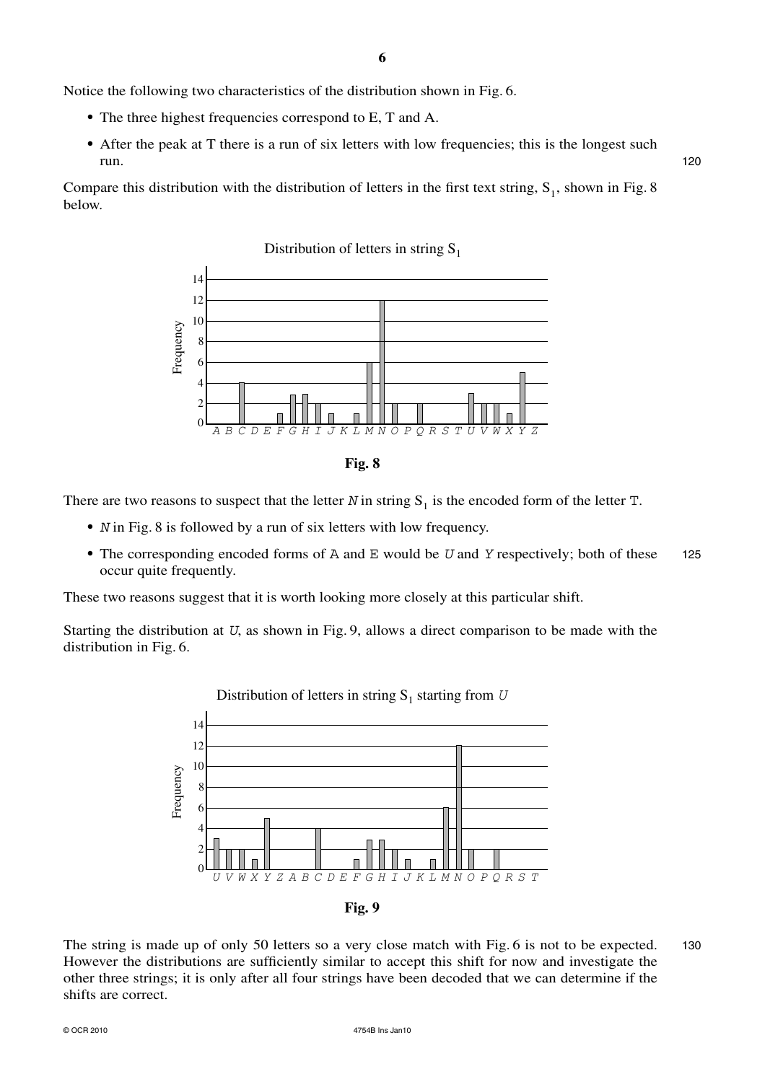Notice the following two characteristics of the distribution shown in Fig. 6.

- **•** The three highest frequencies correspond to E, T and A.
- After the peak at T there is a run of six letters with low frequencies; this is the longest such run. 120

Compare this distribution with the distribution of letters in the first text string,  $S_1$ , shown in Fig. 8 below.





There are two reasons to suspect that the letter  $N$  in string  $S_1$  is the encoded form of the letter T.

- *N* in Fig. 8 is followed by a run of six letters with low frequency.
- The corresponding encoded forms of A and E would be U and Y respectively; both of these 125 occur quite frequently.

These two reasons suggest that it is worth looking more closely at this particular shift.

Starting the distribution at <sup>U</sup>, as shown in Fig. 9, allows a direct comparison to be made with the distribution in Fig. 6.





The string is made up of only 50 letters so a very close match with Fig. 6 is not to be expected. 130 However the distributions are sufficiently similar to accept this shift for now and investigate the other three strings; it is only after all four strings have been decoded that we can determine if the shifts are correct.

© OCR 2010 4754B Ins Jan10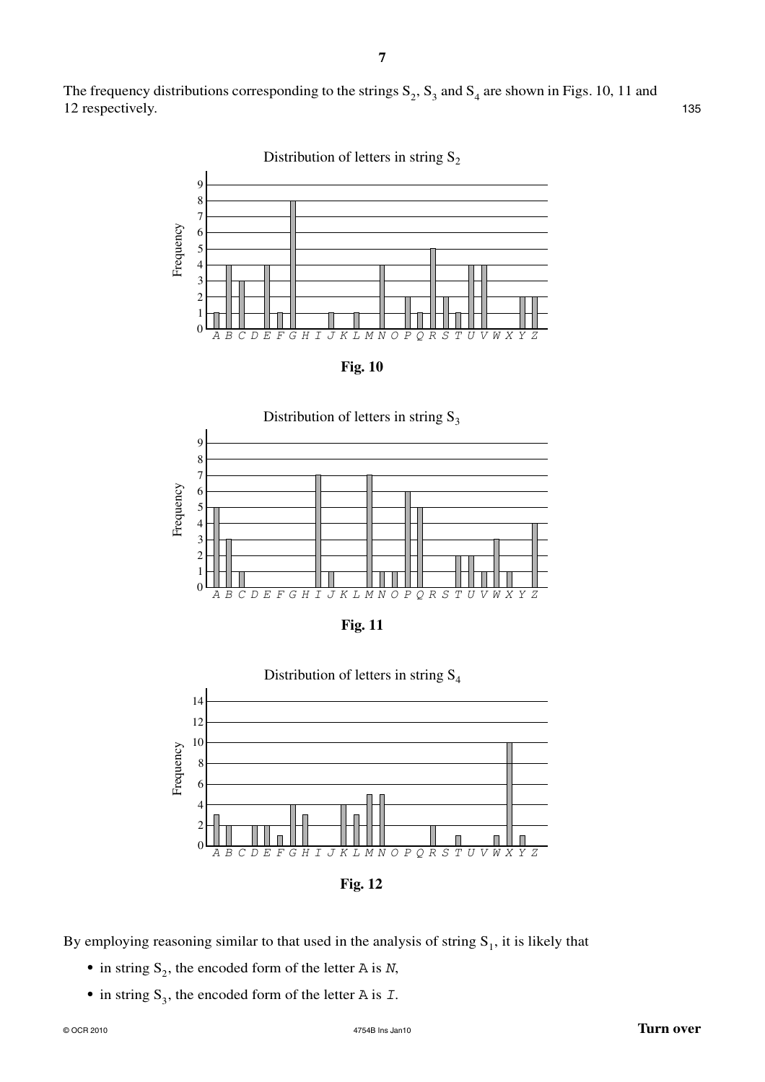The frequency distributions corresponding to the strings  $S_2$ ,  $S_3$  and  $S_4$  are shown in Figs. 10, 11 and 12 respectively. 135





**Fig. 10**



**Fig. 11**





By employing reasoning similar to that used in the analysis of string  $S_1$ , it is likely that

- in string  $S_2$ , the encoded form of the letter A is N,
- in string  $S_3$ , the encoded form of the letter A is  $I$ .